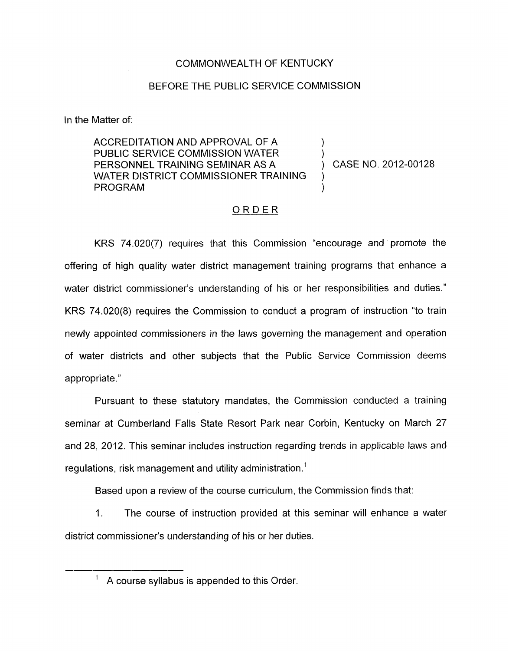#### COMMONWEALTH OF KENTUCKY

#### BEFORE THE PUBLIC SERVICE COMMISSION

In the Matter of:

ACCREDITATION AND APPROVAL OF A<br>PUBLIC SERVICE COMMISSION WATER PERSONNEL TRAINING SEMINAR AS A ) CASE NO. 2012-00128 **PROGRAM** WATER DISTRICT COMMISSIONER TRAINING

# ORDER

KRS 74.020(7) requires that this Commission "encourage and promote the offering of high quality water district management training programs that enhance a water district commissioner's understanding of his or her responsibilities and duties." KRS 74.020(8) requires the Commission to conduct a program of instruction "to train newly appointed commissioners in the laws governing the management and operation of water districts and other subjects that the Public Service Commission deems appropriate."

Pursuant to these statutory mandates, the Commission conducted a training seminar at Cumberland Falls State Resort Park near Corbin, Kentucky on March 27 and 28, 2012. This seminar includes instruction regarding trends in applicable laws and regulations, risk management and utility administration.'

Based upon a review of the course curriculum, the Commission finds that:

1. The course of instruction provided at this seminar will enhance a water district commissioner's understanding of his or her duties.

' A course syllabus is appended to this Order.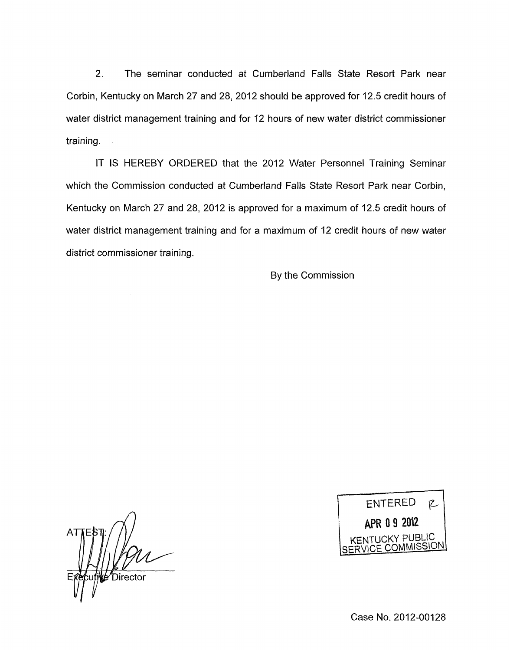2. The seminar conducted at Cumberland Falls State Resort Park near Corbin, Kentucky on March 27 and 28, 2012 should be approved for 12.5 credit hours of water district management training and for 12 hours of new water district commissioner training.  $\mathbb{R}^2$ 

IT IS HEREBY ORDERED that the 2012 Water Personnel Training Seminar which the Commission conducted at Cumberland Falls State Resort Park near Corbin, Kentucky on March 27 and 28, 2012 is approved for a maximum of 12.5 credit hours of water district management training and for a maximum of 12 credit hours of new water district commissioner training.

By the Commission

AT *Director* 

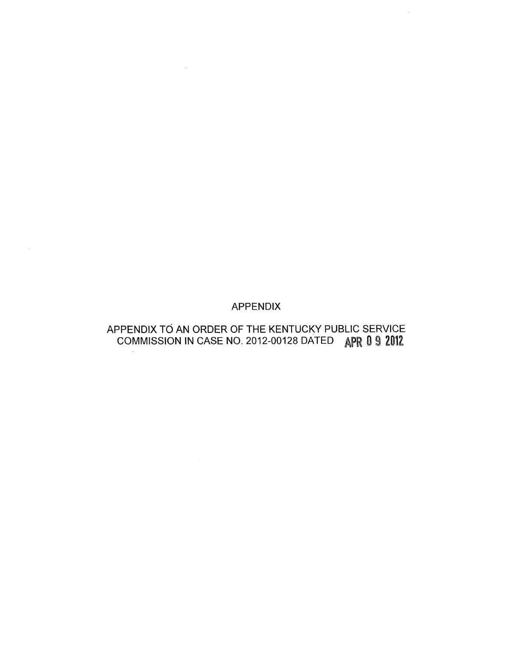# APPENDIX

 $\sim 10^{-11}$ 

 $\sim$ 

# APPENDIX TO AN ORDER OF THE KENTUCKY PUBLIC SERVICE COMMISSION IN CASE NO. 2012-00128 DATED APR 0 9 2012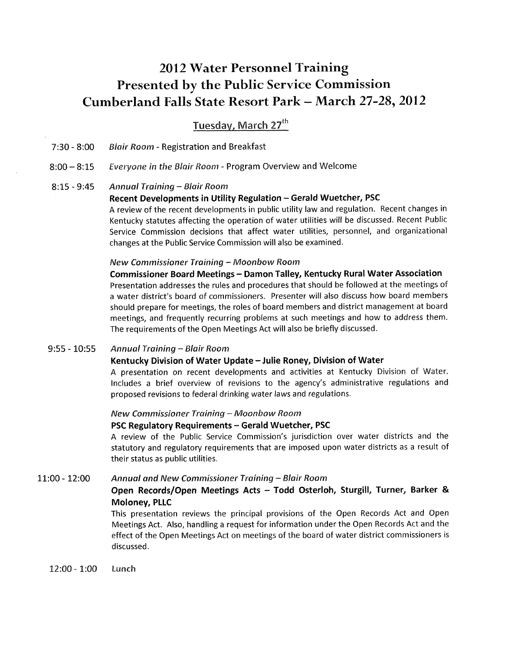# **201** 2 **Water Personnel Training Presented by the Public Service Commission Cumberland Falls State Resort Park** - **March 2728,2012**

Tuesday, March 27<sup>th</sup>

7130 - 8:OO *Blair Roam* - Registration and Breakfast

 $8:00 - 8:15$ *Everyone in the Blair Room* - Program Overview and Welcome

8:15 - 9:45 *Annual Training* - *Blair Room* 

#### **Recent Developments in Utility Regulation - Gerald Wuetcher, PSC**

A review of the recent developments in public utility law and regulation. Recent changes in Kentucky statutes affecting the operation of water utilities will be discussed. Recent Public Service Commission decisions that affect water utilities, personnel, and organizational changes at the Public Service Commission will also be examined.

#### *New Commissioner Training - Moonbow Room*

**Commissioner Board Meetings** - **Damon Talley, Kentucky Rural Water Association**  Presentation addresses the rules and procedures that should be followed at the meetings of a water district's board of commissioners. Presenter will also discuss how board members should prepare for meetings, the roles of board members and district management at board meetings, and frequently recurring problems at such meetings and how to address them. The requirements of the Open Meetings Act will also be briefly discussed.

 $9:55 - 10:55$ *Annual Training* -- *Blair Room* 

#### **Kentucky Division of Water Update** - **Julie Roney, Division of Water**

A presentation on recent developments and activities at Kentucky Division of Water. Includes a brief overview of revisions to the agency's administrative regulations and proposed revisions to federal drinking water laws and regulations.

#### *New Commissioner Training* - *Moonbow Room*

#### **PSC Regulatory Requirements - Gerald Wuetcher, PSC**

A review of the Public Service Commission's jurisdiction over water districts and the statutory and regulatory requirements that are imposed upon water districts as a result of their status as public utilities.

#### 11:oo - 12:oo *Annual and New Commissioner Training* - *Blair Room*

### **Open Records/Open Meetings Acts** - **Todd Osterloh, Sturgill, Turner, Barker** & **Moloney, PLLC**

This presentation reviews the principal provisions of the Open Records Act and Open Meetings Act. Also, handling a request for information under the Open Records Act and the effect of the Open Meetings Act on meetings of the board of water district commissioners is discussed.

12:oo - l:oo **Lunch**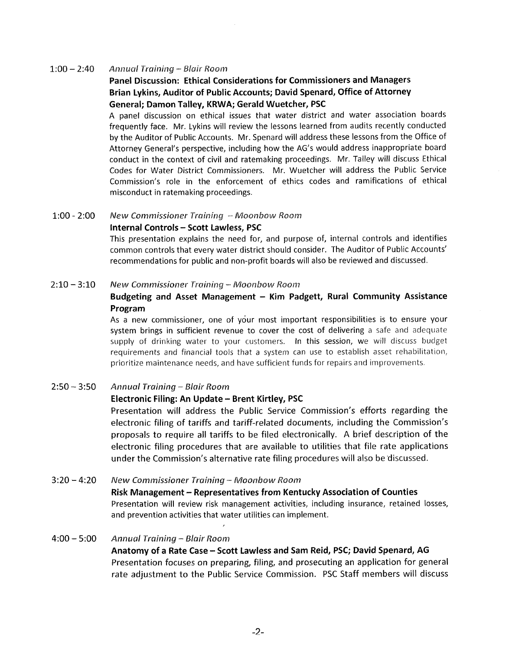#### 1:00 - 240 *Anriwal Training* - *Blair Roan?*

# **Panel Discussion: Ethical Considerations for Commissioners and Managers Brian Lykins, Auditor of Public Accounts; David Spenard, Office of Attorney General; Damon Talley, KRWA; Gerald Wuetcher, PSC**

A panel discussion on ethical issues that water district and water association boards frequently face. Mr. Lykins will review the lessons learned from audits recently conducted by the Auditor of Public Accounts. Mr. Spenard will address these lessons from the Office of Attorney General's perspective, including how the AG's would address inappropriate board conduct in the context of civil and ratemaking proceedings. Mr. Talley will discuss Ethical Codes for Water District Commissioners. Mr. Wuetcher will address the Public Service Commission's role in the enforcement of ethics codes and ramifications of ethical misconduct in ratemaking proceedings.

#### 1:00 - 2:00 New Commissioner Training - Moonbow Room

#### **Internal Controls** - **Scott Lawless, PSC**

This presentation explains the need for, and purpose of, internal controls and identifies common controls that every water district should consider. The Auditor of Public Accounts' recommendations for public and non-profit boards will also be reviewed and discussed.

#### 2:10 - 3:10 New Commissioner Training - Moonbow Room

#### **Budgeting and Asset Management** - **Kim Padgett, Rural Community Assistance Program**

As a new commissioner, one of your most important responsibilities is to ensure your system brings in sufficient revenue to cover the cost of delivering a safe and adequate supply of drinking water to your customers. In this session, we will discuss budget requirements and financial tools that a system can use to establish asset rehabilitation, prioritize maintenance needs, and have sufficient funds for repairs and improvements

#### 2:5O - *3:50 Ainnual Rrcrining* - *5inir Room*

#### **Electronic Filing: An Update** - **Brent Kirtley, PSC**

Presentation will address the Public Service Commission's efforts regarding the electronic filing *of* tariffs and tariff-related documents, including the Commission's proposals to require all tariffs to be filed electronically. A brief description of the electronic filing procedures that are available to utilities that file rate applications under the Commission's alternative rate filing procedures will also be 'discussed.

3:20 - 4:20 *New Commissioner Training - Moonbow Room* **Risk Management** - **Representatives from Kentucky Association of Counties**  Presentation will review risk management activities, including insurance, retained losses, and prevention activities that water utilities can implement.

#### 4:00 - 5:00 Annual Training - Blair Room

**Anatomy of a Rate Case** - **Scott Lawless and Sam Reid, PSC; David Spenard, AG**  Presentation focuses on preparing, filing, and prosecuting an application for general rate adjustment to the Public Service Commission. PSC Staff members will discuss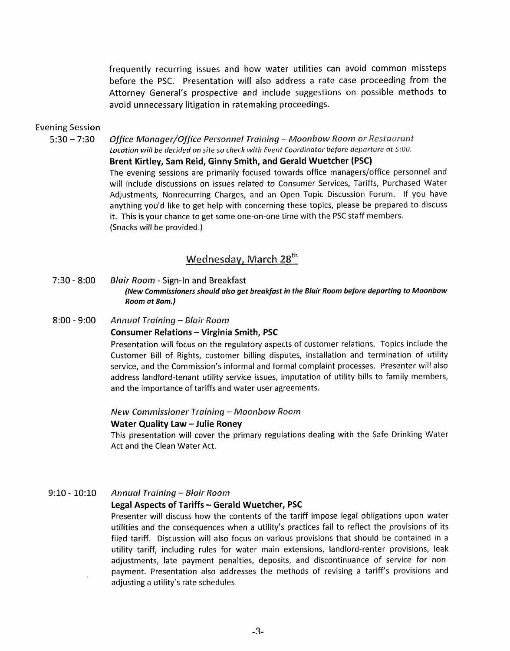frequently recurring issues and how water utilities can avoid common missteps before the PSC. Presentation will also address a rate case proceeding from the Attorney General's prospective and include suggestions on possible methods to avoid unnecessary litigation in ratemaking proceedings.

#### Evening **Session**

*5:30* - *7:30 Qffice n/Tcbnager/a%jlice Personnel ?ruining* - *Mootibow Room or Restauraust Locatio11 will be decided on site* **so** *check with Event Caordirlator before departure at 5:OO.* 

**Brent Kirtley, Sam Reid, Ginny Smith, and Gerald Wuetcher (PSC)**  The evening sessions are primarily focused towards office managers/office personnel and will include discussions on issues related to Consumer Services, Tariffs, Purchased Water Adjustments, Nonrecurring Charges, and an Open Topic Discussion Forum. If you have anything you'd like to get help with concerning these topics, please be prepared to discuss it. This is your chance to get some one-on-one time with the PSC staff members. (Snacks will be provided.)

# Wednesday, March 28<sup>th</sup>

- *7530*  **8:OO** *Blair Room*  Sign-In and Breakfast *(New Commissioners should also get breakfast in the Blair Room before departing to Moonbow Room at 8am.)*
- 8:00 9:00 Annual Training Blair Room **Consumer Relations** - **Virginia Smith, PSC**

Presentation will focus on the regulatory aspects of customer relations. Topics include the Customer Bill of Rights, customer billing disputes, installation and termination of utility service, and the Commission's informal and formal complaint processes. Presenter will also address landlord-tenant utility service issues, imputation of utility bills to family members, and the importance of tariffs and water user agreements.

#### *New Commissioner Training – Moonbow Room*

#### **Water Quality Law - Julie Roney**

This presentation will cover the primary regulations dealing with the Safe Drinking Water Act and the Clean Water Act.

#### 9:lO - **1O:lO** *Annual 7-raining* - *Bhir Room*

#### **Legal Aspects of Tariffs** - **Gerald Wuetcher, PSC**

Presenter will discuss how the contents of the tariff impose legal obligations upon water utilities and the consequences when a utility's practices fail to reflect the provisions of its filed tariff. Discussion will also focus on various provisions that should be contained in a utility tariff, including rules for water main extensions, landlord-renter provisions, leak adjustments, late payment penalties, deposits, and discontinuance of service for nonpayment. Presentation also addresses the methods of revising a tariff's provisions and adjusting a utility's rate schedules